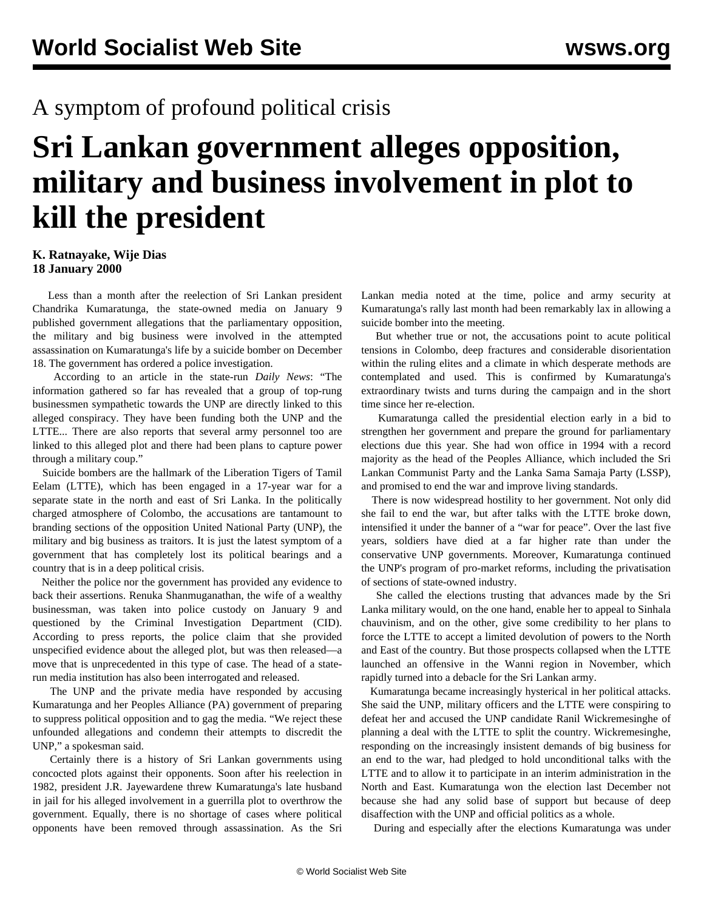## A symptom of profound political crisis

## **Sri Lankan government alleges opposition, military and business involvement in plot to kill the president**

## **K. Ratnayake, Wije Dias 18 January 2000**

 Less than a month after the reelection of Sri Lankan president Chandrika Kumaratunga, the state-owned media on January 9 published government allegations that the parliamentary opposition, the military and big business were involved in the attempted assassination on Kumaratunga's life by a suicide bomber on December 18. The government has ordered a police investigation.

 According to an article in the state-run *Daily News*: "The information gathered so far has revealed that a group of top-rung businessmen sympathetic towards the UNP are directly linked to this alleged conspiracy. They have been funding both the UNP and the LTTE... There are also reports that several army personnel too are linked to this alleged plot and there had been plans to capture power through a military coup."

 Suicide bombers are the hallmark of the Liberation Tigers of Tamil Eelam (LTTE), which has been engaged in a 17-year war for a separate state in the north and east of Sri Lanka. In the politically charged atmosphere of Colombo, the accusations are tantamount to branding sections of the opposition United National Party (UNP), the military and big business as traitors. It is just the latest symptom of a government that has completely lost its political bearings and a country that is in a deep political crisis.

 Neither the police nor the government has provided any evidence to back their assertions. Renuka Shanmuganathan, the wife of a wealthy businessman, was taken into police custody on January 9 and questioned by the Criminal Investigation Department (CID). According to press reports, the police claim that she provided unspecified evidence about the alleged plot, but was then released—a move that is unprecedented in this type of case. The head of a staterun media institution has also been interrogated and released.

 The UNP and the private media have responded by accusing Kumaratunga and her Peoples Alliance (PA) government of preparing to suppress political opposition and to gag the media. "We reject these unfounded allegations and condemn their attempts to discredit the UNP," a spokesman said.

 Certainly there is a history of Sri Lankan governments using concocted plots against their opponents. Soon after his reelection in 1982, president J.R. Jayewardene threw Kumaratunga's late husband in jail for his alleged involvement in a guerrilla plot to overthrow the government. Equally, there is no shortage of cases where political opponents have been removed through assassination. As the Sri

Lankan media noted at the time, police and army security at Kumaratunga's rally last month had been remarkably lax in allowing a suicide bomber into the meeting.

 But whether true or not, the accusations point to acute political tensions in Colombo, deep fractures and considerable disorientation within the ruling elites and a climate in which desperate methods are contemplated and used. This is confirmed by Kumaratunga's extraordinary twists and turns during the campaign and in the short time since her re-election.

 Kumaratunga called the presidential election early in a bid to strengthen her government and prepare the ground for parliamentary elections due this year. She had won office in 1994 with a record majority as the head of the Peoples Alliance, which included the Sri Lankan Communist Party and the Lanka Sama Samaja Party (LSSP), and promised to end the war and improve living standards.

 There is now widespread hostility to her government. Not only did she fail to end the war, but after talks with the LTTE broke down, intensified it under the banner of a "war for peace". Over the last five years, soldiers have died at a far higher rate than under the conservative UNP governments. Moreover, Kumaratunga continued the UNP's program of pro-market reforms, including the privatisation of sections of state-owned industry.

 She called the elections trusting that advances made by the Sri Lanka military would, on the one hand, enable her to appeal to Sinhala chauvinism, and on the other, give some credibility to her plans to force the LTTE to accept a limited devolution of powers to the North and East of the country. But those prospects collapsed when the LTTE launched an offensive in the Wanni region in November, which rapidly turned into a debacle for the Sri Lankan army.

 Kumaratunga became increasingly hysterical in her political attacks. She said the UNP, military officers and the LTTE were conspiring to defeat her and accused the UNP candidate Ranil Wickremesinghe of planning a deal with the LTTE to split the country. Wickremesinghe, responding on the increasingly insistent demands of big business for an end to the war, had pledged to hold unconditional talks with the LTTE and to allow it to participate in an interim administration in the North and East. Kumaratunga won the election last December not because she had any solid base of support but because of deep disaffection with the UNP and official politics as a whole.

During and especially after the elections Kumaratunga was under